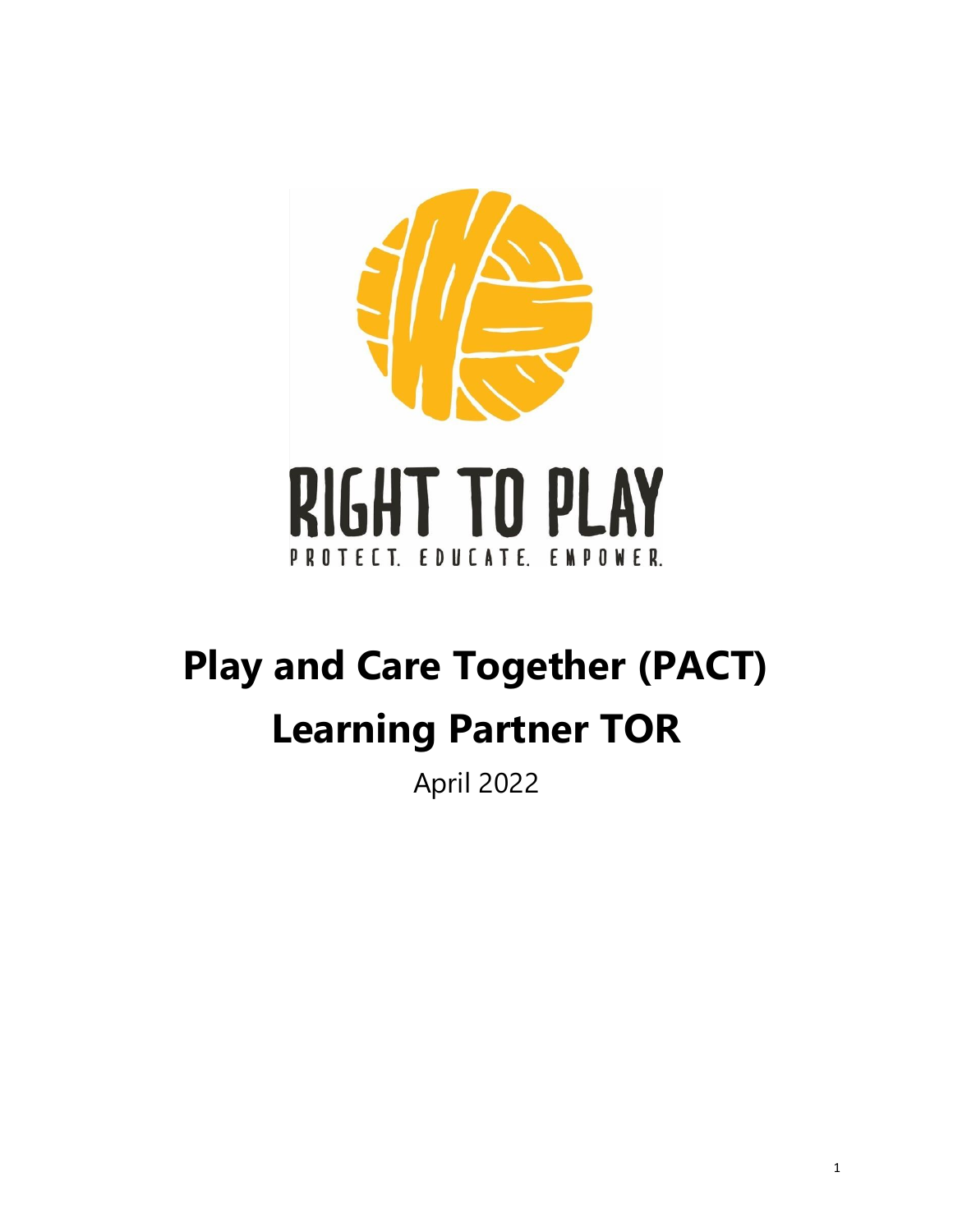

# **Play and Care Together (PACT) Learning Partner TOR**

April 2022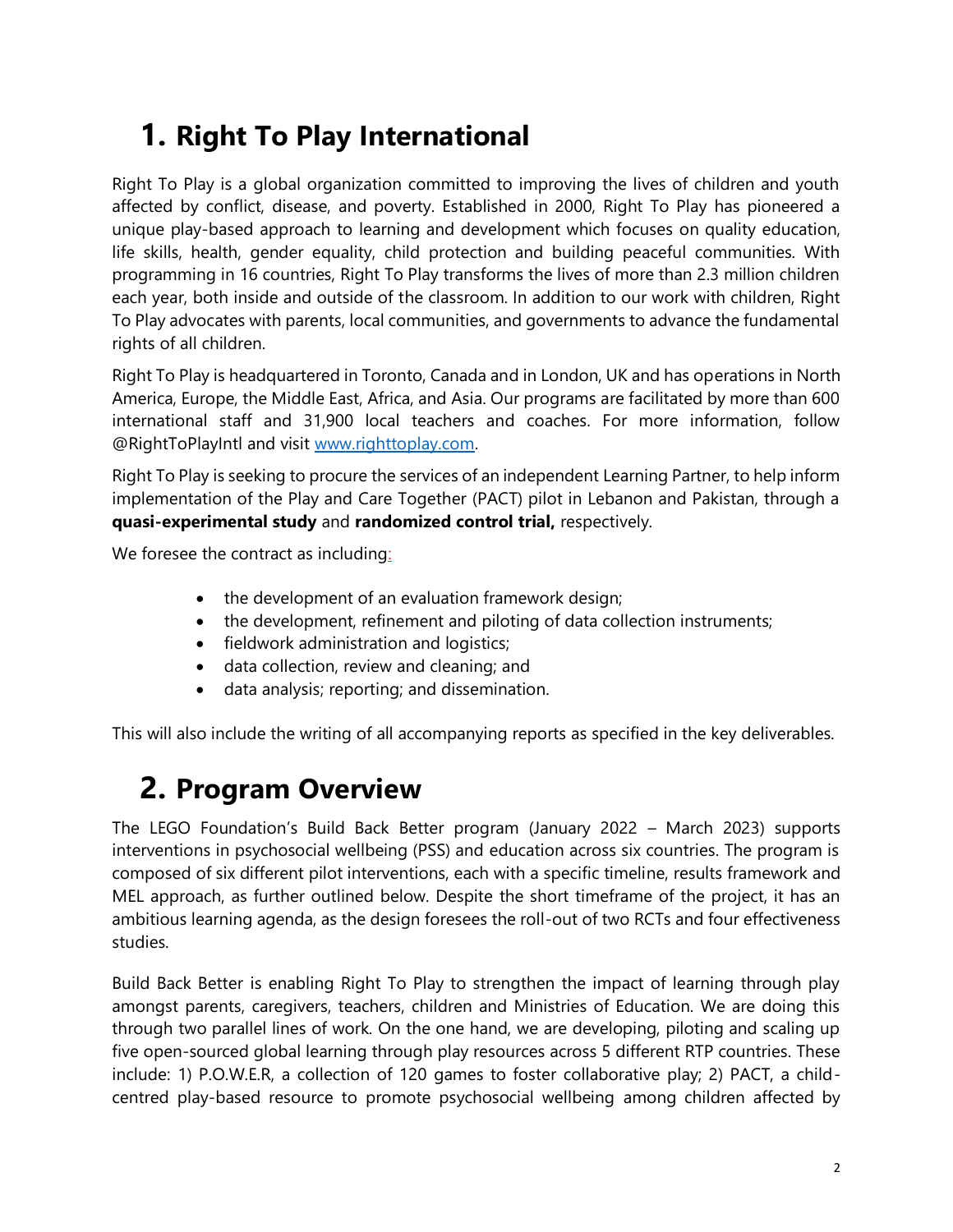# **1. Right To Play International**

Right To Play is a global organization committed to improving the lives of children and youth affected by conflict, disease, and poverty. Established in 2000, Right To Play has pioneered a unique play-based approach to learning and development which focuses on quality education, life skills, health, gender equality, child protection and building peaceful communities. With programming in 16 countries, Right To Play transforms the lives of more than 2.3 million children each year, both inside and outside of the classroom. In addition to our work with children, Right To Play advocates with parents, local communities, and governments to advance the fundamental rights of all children.

Right To Play is headquartered in Toronto, Canada and in London, UK and has operations in North America, Europe, the Middle East, Africa, and Asia. Our programs are facilitated by more than 600 international staff and 31,900 local teachers and coaches. For more information, follow @RightToPlayIntl and visit [www.righttoplay.com.](http://www.righttoplay.com/)

Right To Play is seeking to procure the services of an independent Learning Partner, to help inform implementation of the Play and Care Together (PACT) pilot in Lebanon and Pakistan, through a **quasi-experimental study** and **randomized control trial,** respectively.

We foresee the contract as including:

- the development of an evaluation framework design;
- the development, refinement and piloting of data collection instruments;
- fieldwork administration and logistics;
- data collection, review and cleaning; and
- data analysis; reporting; and dissemination.

This will also include the writing of all accompanying reports as specified in the key deliverables.

# **2. Program Overview**

The LEGO Foundation's Build Back Better program (January 2022 – March 2023) supports interventions in psychosocial wellbeing (PSS) and education across six countries. The program is composed of six different pilot interventions, each with a specific timeline, results framework and MEL approach, as further outlined below. Despite the short timeframe of the project, it has an ambitious learning agenda, as the design foresees the roll-out of two RCTs and four effectiveness studies.

Build Back Better is enabling Right To Play to strengthen the impact of learning through play amongst parents, caregivers, teachers, children and Ministries of Education. We are doing this through two parallel lines of work. On the one hand, we are developing, piloting and scaling up five open-sourced global learning through play resources across 5 different RTP countries. These include: 1) P.O.W.E.R, a collection of 120 games to foster collaborative play; 2) PACT, a childcentred play-based resource to promote psychosocial wellbeing among children affected by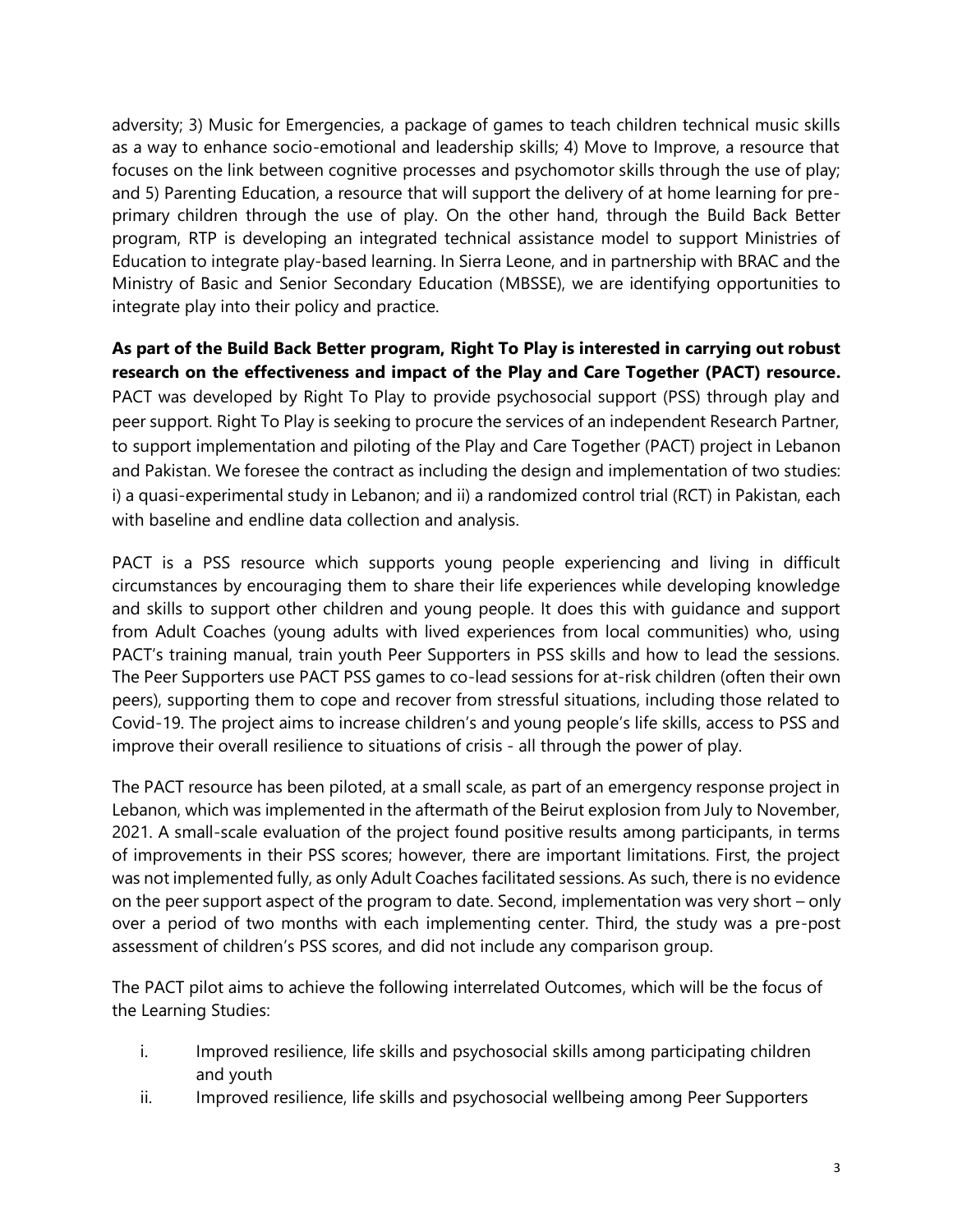adversity; 3) Music for Emergencies, a package of games to teach children technical music skills as a way to enhance socio-emotional and leadership skills; 4) Move to Improve, a resource that focuses on the link between cognitive processes and psychomotor skills through the use of play; and 5) Parenting Education, a resource that will support the delivery of at home learning for preprimary children through the use of play. On the other hand, through the Build Back Better program, RTP is developing an integrated technical assistance model to support Ministries of Education to integrate play-based learning. In Sierra Leone, and in partnership with BRAC and the Ministry of Basic and Senior Secondary Education (MBSSE), we are identifying opportunities to integrate play into their policy and practice.

**As part of the Build Back Better program, Right To Play is interested in carrying out robust research on the effectiveness and impact of the Play and Care Together (PACT) resource.** PACT was developed by Right To Play to provide psychosocial support (PSS) through play and peer support. Right To Play is seeking to procure the services of an independent Research Partner, to support implementation and piloting of the Play and Care Together (PACT) project in Lebanon and Pakistan. We foresee the contract as including the design and implementation of two studies: i) a quasi-experimental study in Lebanon; and ii) a randomized control trial (RCT) in Pakistan, each with baseline and endline data collection and analysis.

PACT is a PSS resource which supports young people experiencing and living in difficult circumstances by encouraging them to share their life experiences while developing knowledge and skills to support other children and young people. It does this with guidance and support from Adult Coaches (young adults with lived experiences from local communities) who, using PACT's training manual, train youth Peer Supporters in PSS skills and how to lead the sessions. The Peer Supporters use PACT PSS games to co-lead sessions for at-risk children (often their own peers), supporting them to cope and recover from stressful situations, including those related to Covid-19. The project aims to increase children's and young people's life skills, access to PSS and improve their overall resilience to situations of crisis - all through the power of play.

The PACT resource has been piloted, at a small scale, as part of an emergency response project in Lebanon, which was implemented in the aftermath of the Beirut explosion from July to November, 2021. A small-scale evaluation of the project found positive results among participants, in terms of improvements in their PSS scores; however, there are important limitations. First, the project was not implemented fully, as only Adult Coaches facilitated sessions. As such, there is no evidence on the peer support aspect of the program to date. Second, implementation was very short – only over a period of two months with each implementing center. Third, the study was a pre-post assessment of children's PSS scores, and did not include any comparison group.

The PACT pilot aims to achieve the following interrelated Outcomes, which will be the focus of the Learning Studies:

- i. Improved resilience, life skills and psychosocial skills among participating children and youth
- ii. Improved resilience, life skills and psychosocial wellbeing among Peer Supporters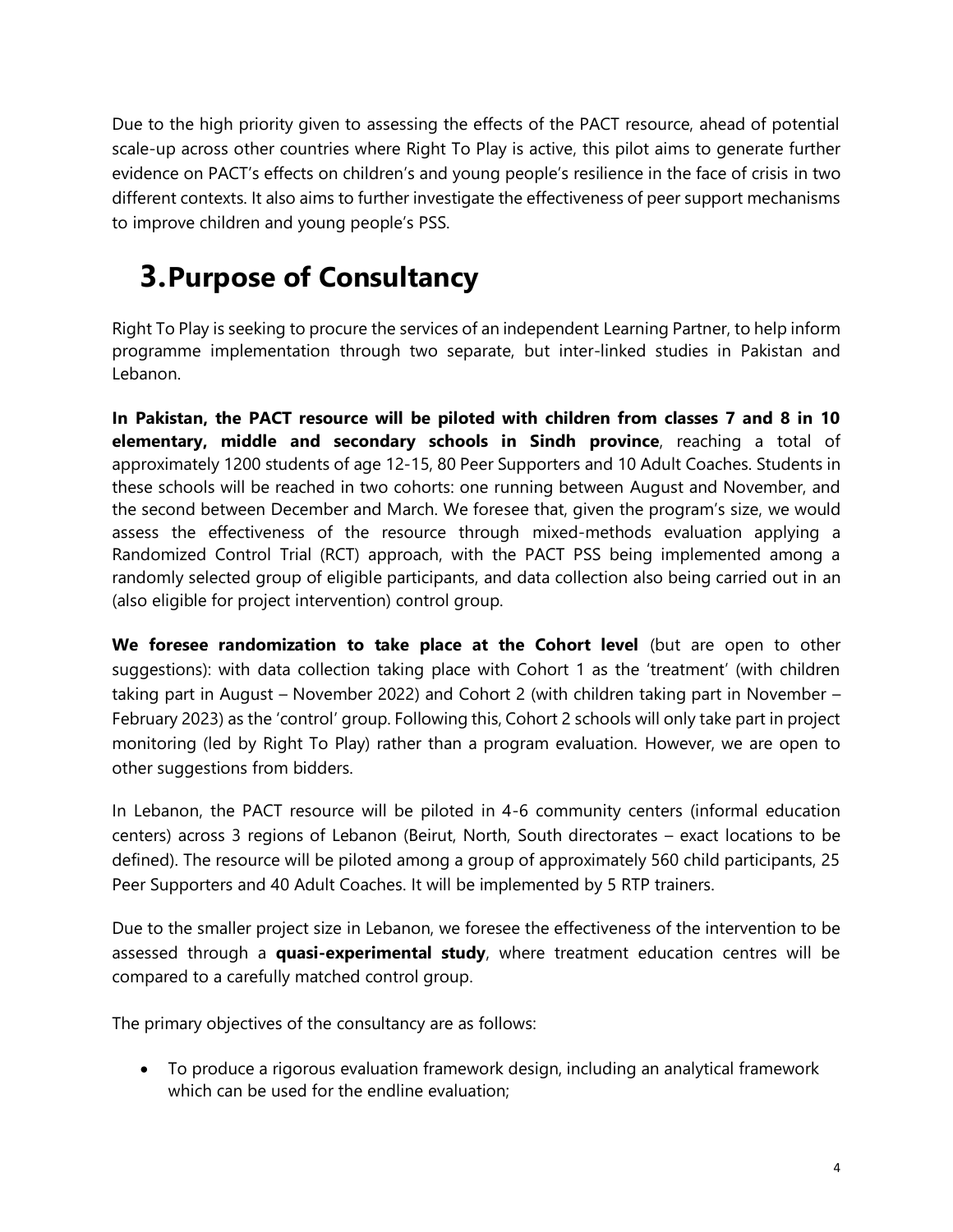Due to the high priority given to assessing the effects of the PACT resource, ahead of potential scale-up across other countries where Right To Play is active, this pilot aims to generate further evidence on PACT's effects on children's and young people's resilience in the face of crisis in two different contexts. It also aims to further investigate the effectiveness of peer support mechanisms to improve children and young people's PSS.

# **3.Purpose of Consultancy**

Right To Play is seeking to procure the services of an independent Learning Partner, to help inform programme implementation through two separate, but inter-linked studies in Pakistan and Lebanon.

**In Pakistan, the PACT resource will be piloted with children from classes 7 and 8 in 10 elementary, middle and secondary schools in Sindh province**, reaching a total of approximately 1200 students of age 12-15, 80 Peer Supporters and 10 Adult Coaches. Students in these schools will be reached in two cohorts: one running between August and November, and the second between December and March. We foresee that, given the program's size, we would assess the effectiveness of the resource through mixed-methods evaluation applying a Randomized Control Trial (RCT) approach, with the PACT PSS being implemented among a randomly selected group of eligible participants, and data collection also being carried out in an (also eligible for project intervention) control group.

**We foresee randomization to take place at the Cohort level** (but are open to other suggestions): with data collection taking place with Cohort 1 as the 'treatment' (with children taking part in August – November 2022) and Cohort 2 (with children taking part in November – February 2023) as the 'control' group. Following this, Cohort 2 schools will only take part in project monitoring (led by Right To Play) rather than a program evaluation. However, we are open to other suggestions from bidders.

In Lebanon, the PACT resource will be piloted in 4-6 community centers (informal education centers) across 3 regions of Lebanon (Beirut, North, South directorates – exact locations to be defined). The resource will be piloted among a group of approximately 560 child participants, 25 Peer Supporters and 40 Adult Coaches. It will be implemented by 5 RTP trainers.

Due to the smaller project size in Lebanon, we foresee the effectiveness of the intervention to be assessed through a **quasi-experimental study**, where treatment education centres will be compared to a carefully matched control group.

The primary objectives of the consultancy are as follows:

• To produce a rigorous evaluation framework design, including an analytical framework which can be used for the endline evaluation;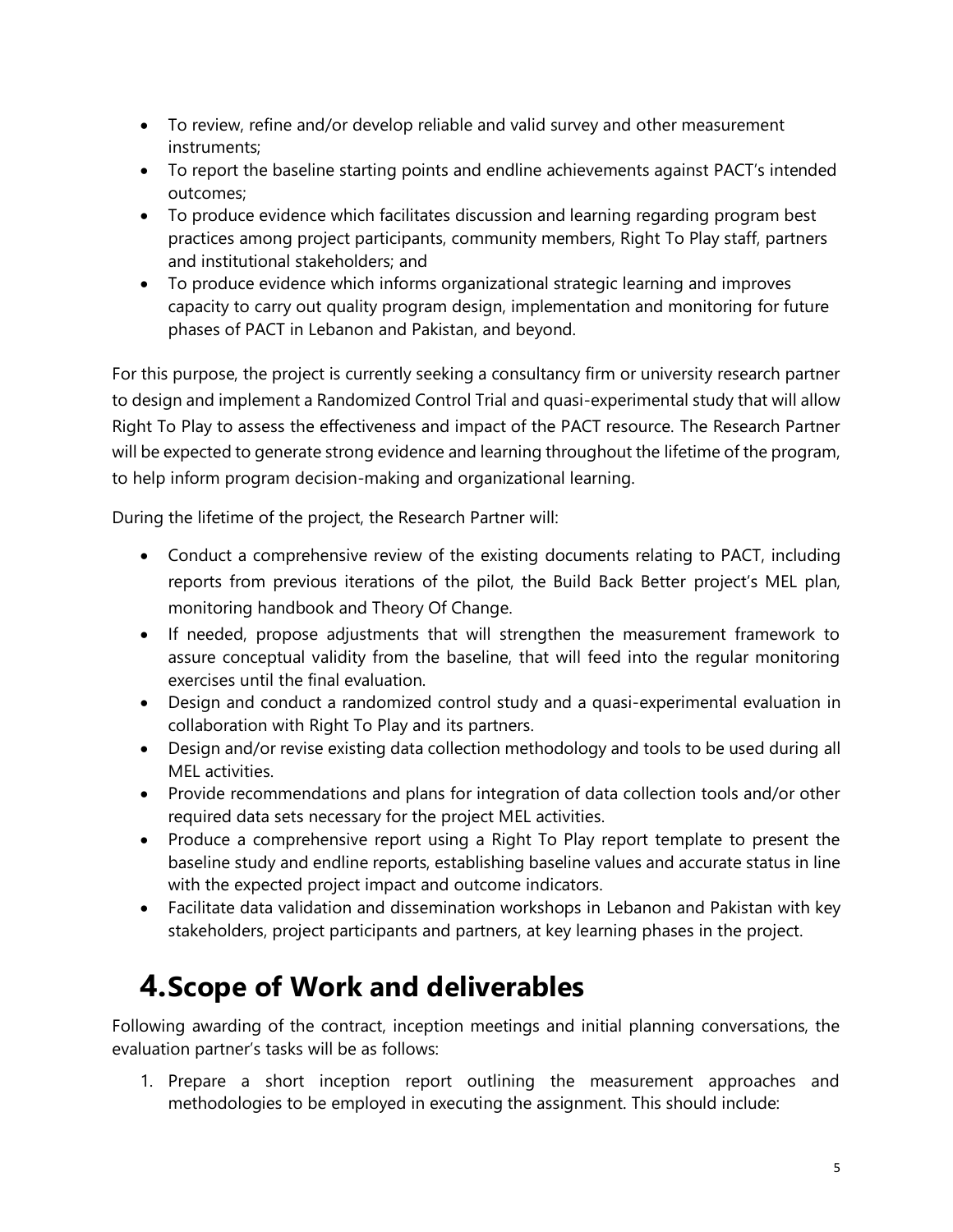- To review, refine and/or develop reliable and valid survey and other measurement instruments;
- To report the baseline starting points and endline achievements against PACT's intended outcomes;
- To produce evidence which facilitates discussion and learning regarding program best practices among project participants, community members, Right To Play staff, partners and institutional stakeholders; and
- To produce evidence which informs organizational strategic learning and improves capacity to carry out quality program design, implementation and monitoring for future phases of PACT in Lebanon and Pakistan, and beyond.

For this purpose, the project is currently seeking a consultancy firm or university research partner to design and implement a Randomized Control Trial and quasi-experimental study that will allow Right To Play to assess the effectiveness and impact of the PACT resource. The Research Partner will be expected to generate strong evidence and learning throughout the lifetime of the program, to help inform program decision-making and organizational learning.

During the lifetime of the project, the Research Partner will:

- Conduct a comprehensive review of the existing documents relating to PACT, including reports from previous iterations of the pilot, the Build Back Better project's MEL plan, monitoring handbook and Theory Of Change.
- If needed, propose adjustments that will strengthen the measurement framework to assure conceptual validity from the baseline, that will feed into the regular monitoring exercises until the final evaluation.
- Design and conduct a randomized control study and a quasi-experimental evaluation in collaboration with Right To Play and its partners.
- Design and/or revise existing data collection methodology and tools to be used during all MEL activities.
- Provide recommendations and plans for integration of data collection tools and/or other required data sets necessary for the project MEL activities.
- Produce a comprehensive report using a Right To Play report template to present the baseline study and endline reports, establishing baseline values and accurate status in line with the expected project impact and outcome indicators.
- Facilitate data validation and dissemination workshops in Lebanon and Pakistan with key stakeholders, project participants and partners, at key learning phases in the project.

# **4.Scope of Work and deliverables**

Following awarding of the contract, inception meetings and initial planning conversations, the evaluation partner's tasks will be as follows:

1. Prepare a short inception report outlining the measurement approaches and methodologies to be employed in executing the assignment. This should include: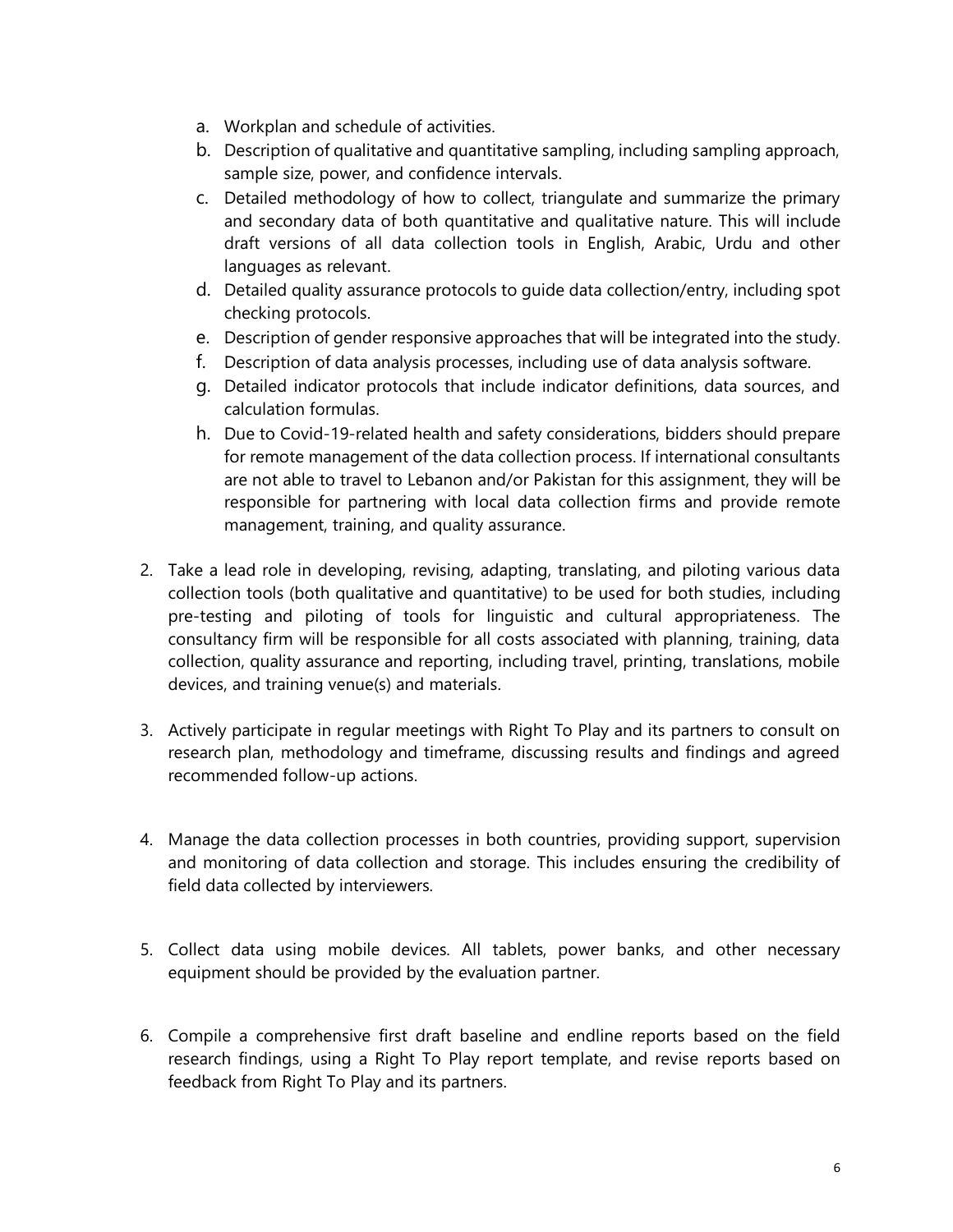- a. Workplan and schedule of activities.
- b. Description of qualitative and quantitative sampling, including sampling approach, sample size, power, and confidence intervals.
- c. Detailed methodology of how to collect, triangulate and summarize the primary and secondary data of both quantitative and qualitative nature. This will include draft versions of all data collection tools in English, Arabic, Urdu and other languages as relevant.
- d. Detailed quality assurance protocols to guide data collection/entry, including spot checking protocols.
- e. Description of gender responsive approaches that will be integrated into the study.
- f. Description of data analysis processes, including use of data analysis software.
- g. Detailed indicator protocols that include indicator definitions, data sources, and calculation formulas.
- h. Due to Covid-19-related health and safety considerations, bidders should prepare for remote management of the data collection process. If international consultants are not able to travel to Lebanon and/or Pakistan for this assignment, they will be responsible for partnering with local data collection firms and provide remote management, training, and quality assurance.
- 2. Take a lead role in developing, revising, adapting, translating, and piloting various data collection tools (both qualitative and quantitative) to be used for both studies, including pre-testing and piloting of tools for linguistic and cultural appropriateness. The consultancy firm will be responsible for all costs associated with planning, training, data collection, quality assurance and reporting, including travel, printing, translations, mobile devices, and training venue(s) and materials.
- 3. Actively participate in regular meetings with Right To Play and its partners to consult on research plan, methodology and timeframe, discussing results and findings and agreed recommended follow-up actions.
- 4. Manage the data collection processes in both countries, providing support, supervision and monitoring of data collection and storage. This includes ensuring the credibility of field data collected by interviewers.
- 5. Collect data using mobile devices. All tablets, power banks, and other necessary equipment should be provided by the evaluation partner.
- 6. Compile a comprehensive first draft baseline and endline reports based on the field research findings, using a Right To Play report template, and revise reports based on feedback from Right To Play and its partners.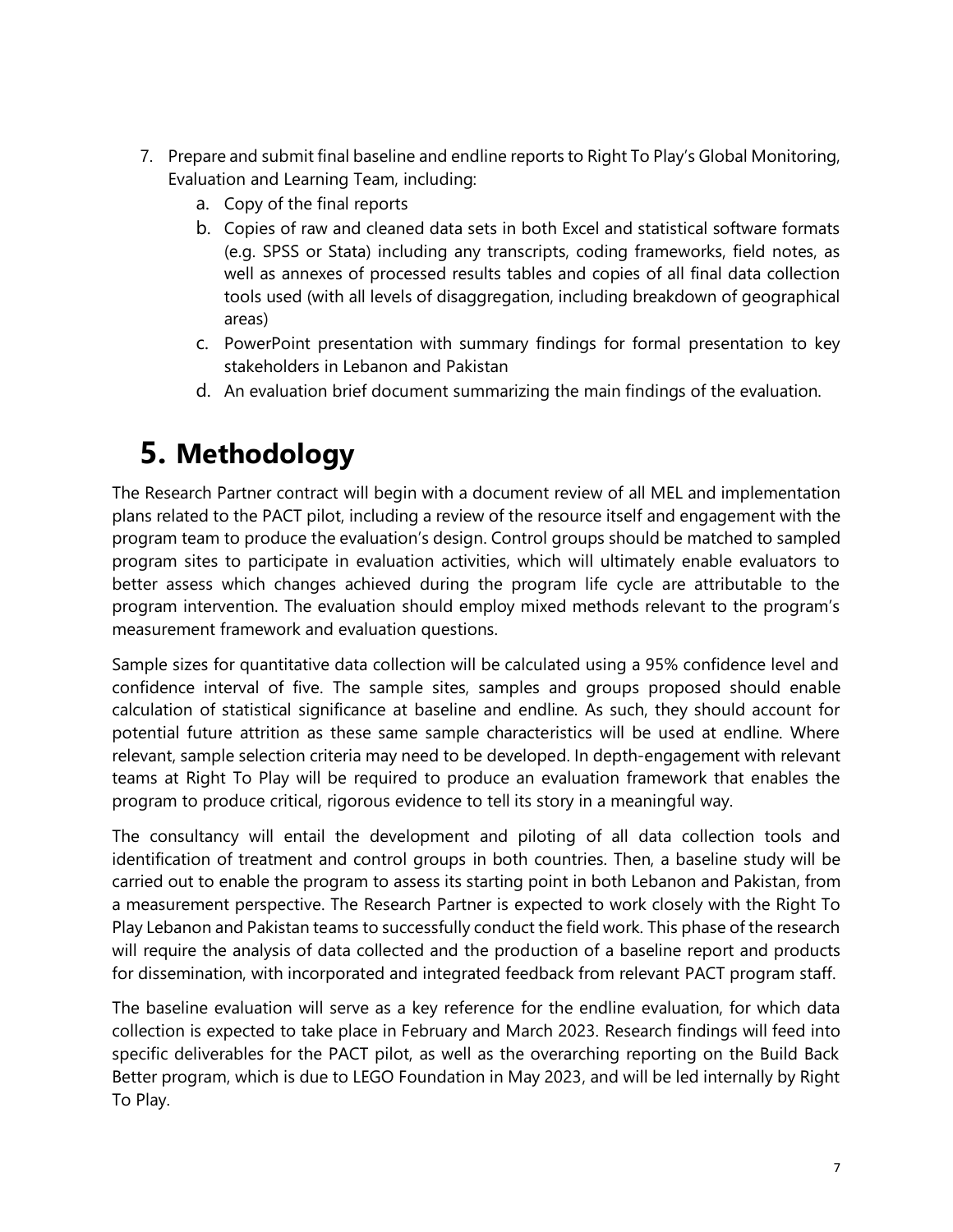- 7. Prepare and submit final baseline and endline reports to Right To Play's Global Monitoring, Evaluation and Learning Team, including:
	- a. Copy of the final reports
	- b. Copies of raw and cleaned data sets in both Excel and statistical software formats (e.g. SPSS or Stata) including any transcripts, coding frameworks, field notes, as well as annexes of processed results tables and copies of all final data collection tools used (with all levels of disaggregation, including breakdown of geographical areas)
	- c. PowerPoint presentation with summary findings for formal presentation to key stakeholders in Lebanon and Pakistan
	- d. An evaluation brief document summarizing the main findings of the evaluation.

# **5. Methodology**

The Research Partner contract will begin with a document review of all MEL and implementation plans related to the PACT pilot, including a review of the resource itself and engagement with the program team to produce the evaluation's design. Control groups should be matched to sampled program sites to participate in evaluation activities, which will ultimately enable evaluators to better assess which changes achieved during the program life cycle are attributable to the program intervention. The evaluation should employ mixed methods relevant to the program's measurement framework and evaluation questions.

Sample sizes for quantitative data collection will be calculated using a 95% confidence level and confidence interval of five. The sample sites, samples and groups proposed should enable calculation of statistical significance at baseline and endline. As such, they should account for potential future attrition as these same sample characteristics will be used at endline. Where relevant, sample selection criteria may need to be developed. In depth-engagement with relevant teams at Right To Play will be required to produce an evaluation framework that enables the program to produce critical, rigorous evidence to tell its story in a meaningful way.

The consultancy will entail the development and piloting of all data collection tools and identification of treatment and control groups in both countries. Then, a baseline study will be carried out to enable the program to assess its starting point in both Lebanon and Pakistan, from a measurement perspective. The Research Partner is expected to work closely with the Right To Play Lebanon and Pakistan teams to successfully conduct the field work. This phase of the research will require the analysis of data collected and the production of a baseline report and products for dissemination, with incorporated and integrated feedback from relevant PACT program staff.

The baseline evaluation will serve as a key reference for the endline evaluation, for which data collection is expected to take place in February and March 2023. Research findings will feed into specific deliverables for the PACT pilot, as well as the overarching reporting on the Build Back Better program, which is due to LEGO Foundation in May 2023, and will be led internally by Right To Play.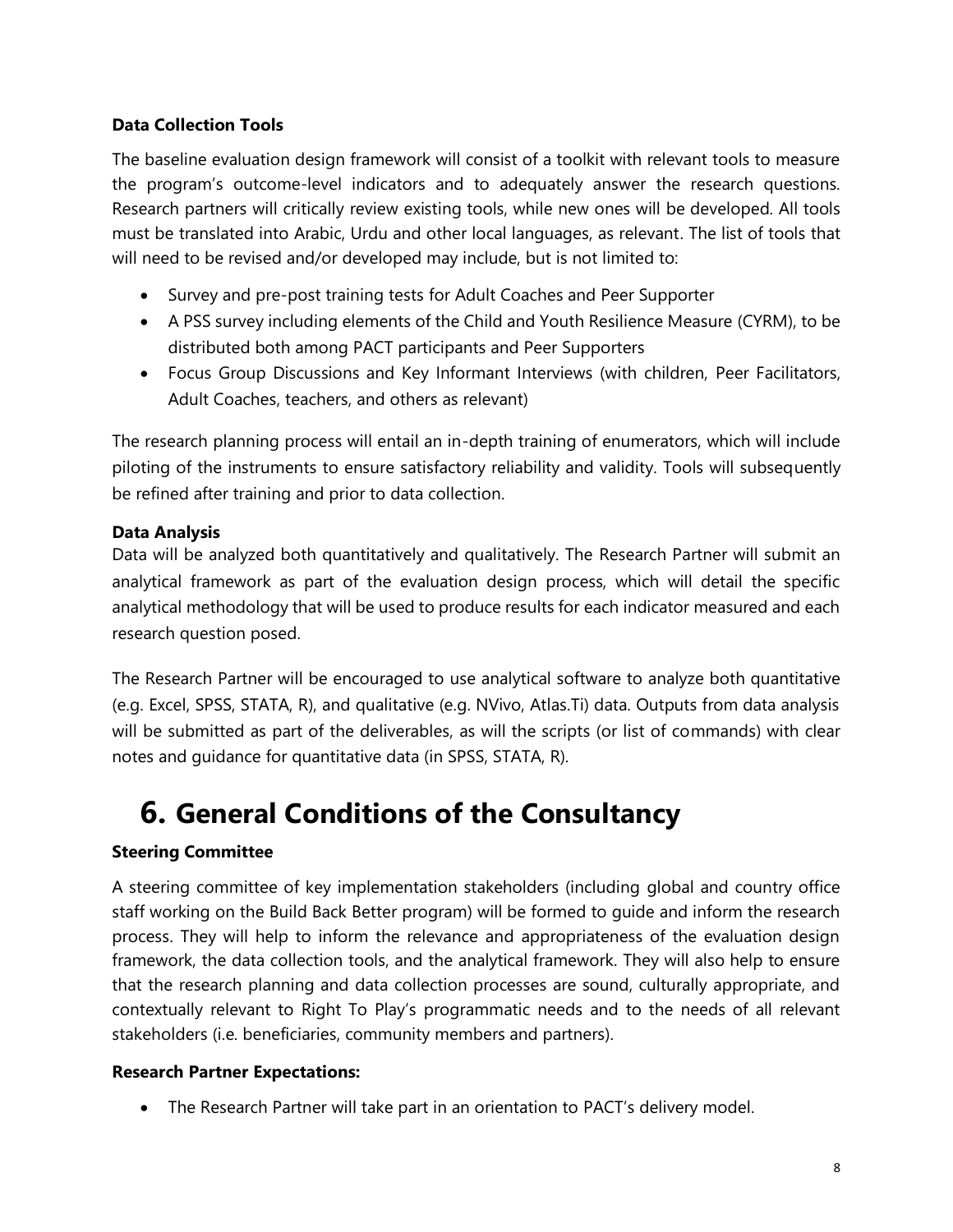### **Data Collection Tools**

The baseline evaluation design framework will consist of a toolkit with relevant tools to measure the program's outcome-level indicators and to adequately answer the research questions. Research partners will critically review existing tools, while new ones will be developed. All tools must be translated into Arabic, Urdu and other local languages, as relevant. The list of tools that will need to be revised and/or developed may include, but is not limited to:

- Survey and pre-post training tests for Adult Coaches and Peer Supporter
- A PSS survey including elements of the Child and Youth Resilience Measure (CYRM), to be distributed both among PACT participants and Peer Supporters
- Focus Group Discussions and Key Informant Interviews (with children, Peer Facilitators, Adult Coaches, teachers, and others as relevant)

The research planning process will entail an in-depth training of enumerators, which will include piloting of the instruments to ensure satisfactory reliability and validity. Tools will subsequently be refined after training and prior to data collection.

### **Data Analysis**

Data will be analyzed both quantitatively and qualitatively. The Research Partner will submit an analytical framework as part of the evaluation design process, which will detail the specific analytical methodology that will be used to produce results for each indicator measured and each research question posed.

The Research Partner will be encouraged to use analytical software to analyze both quantitative (e.g. Excel, SPSS, STATA, R), and qualitative (e.g. NVivo, Atlas.Ti) data. Outputs from data analysis will be submitted as part of the deliverables, as will the scripts (or list of commands) with clear notes and guidance for quantitative data (in SPSS, STATA, R).

# **6. General Conditions of the Consultancy**

### **Steering Committee**

A steering committee of key implementation stakeholders (including global and country office staff working on the Build Back Better program) will be formed to guide and inform the research process. They will help to inform the relevance and appropriateness of the evaluation design framework, the data collection tools, and the analytical framework. They will also help to ensure that the research planning and data collection processes are sound, culturally appropriate, and contextually relevant to Right To Play's programmatic needs and to the needs of all relevant stakeholders (i.e. beneficiaries, community members and partners).

### **Research Partner Expectations:**

• The Research Partner will take part in an orientation to PACT's delivery model.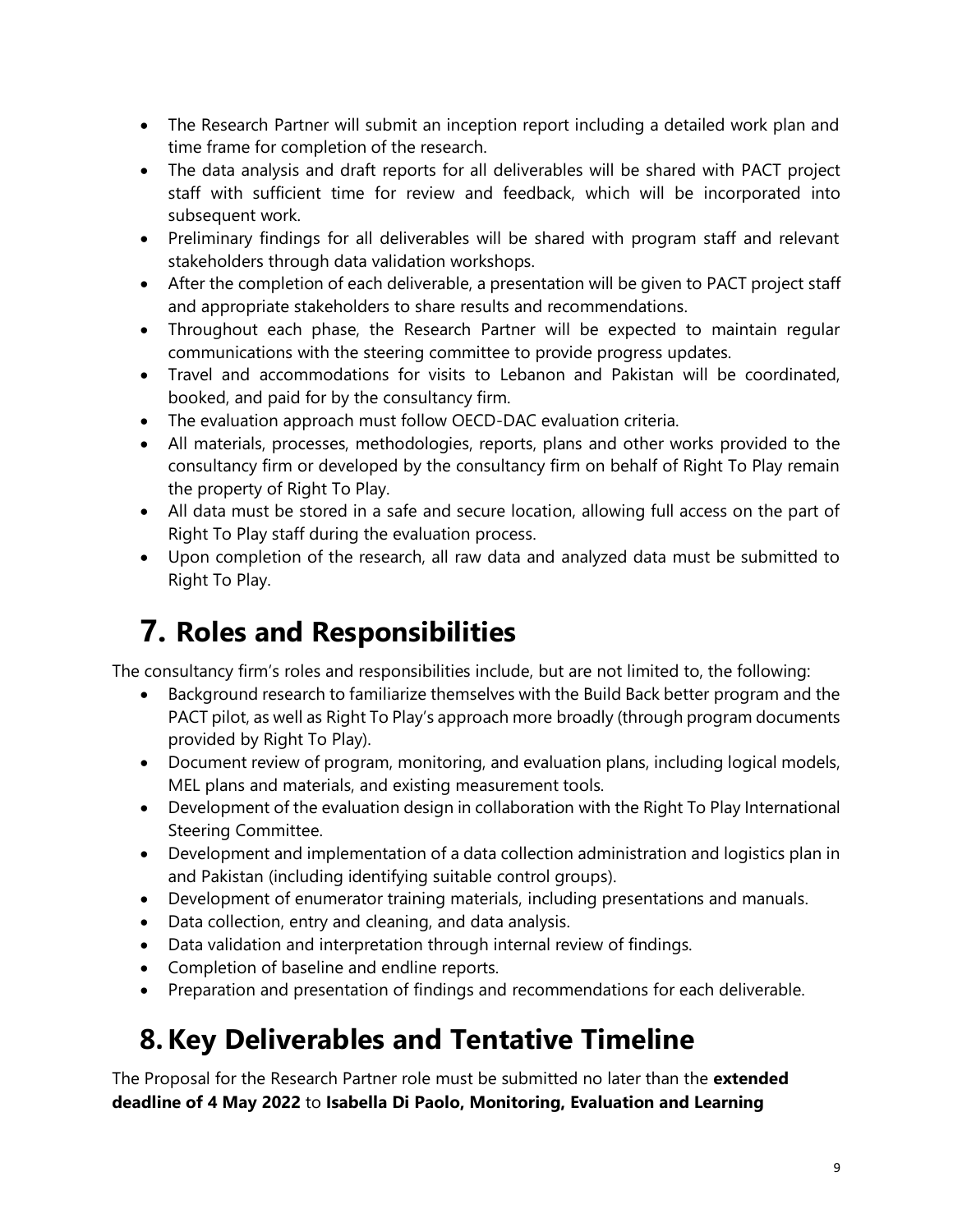- The Research Partner will submit an inception report including a detailed work plan and time frame for completion of the research.
- The data analysis and draft reports for all deliverables will be shared with PACT project staff with sufficient time for review and feedback, which will be incorporated into subsequent work.
- Preliminary findings for all deliverables will be shared with program staff and relevant stakeholders through data validation workshops.
- After the completion of each deliverable, a presentation will be given to PACT project staff and appropriate stakeholders to share results and recommendations.
- Throughout each phase, the Research Partner will be expected to maintain regular communications with the steering committee to provide progress updates.
- Travel and accommodations for visits to Lebanon and Pakistan will be coordinated, booked, and paid for by the consultancy firm.
- The evaluation approach must follow OECD-DAC evaluation criteria.
- All materials, processes, methodologies, reports, plans and other works provided to the consultancy firm or developed by the consultancy firm on behalf of Right To Play remain the property of Right To Play.
- All data must be stored in a safe and secure location, allowing full access on the part of Right To Play staff during the evaluation process.
- Upon completion of the research, all raw data and analyzed data must be submitted to Right To Play.

# **7. Roles and Responsibilities**

The consultancy firm's roles and responsibilities include, but are not limited to, the following:

- Background research to familiarize themselves with the Build Back better program and the PACT pilot, as well as Right To Play's approach more broadly (through program documents provided by Right To Play).
- Document review of program, monitoring, and evaluation plans, including logical models, MEL plans and materials, and existing measurement tools.
- Development of the evaluation design in collaboration with the Right To Play International Steering Committee.
- Development and implementation of a data collection administration and logistics plan in and Pakistan (including identifying suitable control groups).
- Development of enumerator training materials, including presentations and manuals.
- Data collection, entry and cleaning, and data analysis.
- Data validation and interpretation through internal review of findings.
- Completion of baseline and endline reports.
- Preparation and presentation of findings and recommendations for each deliverable.

# **8.Key Deliverables and Tentative Timeline**

The Proposal for the Research Partner role must be submitted no later than the **extended deadline of 4 May 2022** to **Isabella Di Paolo, Monitoring, Evaluation and Learning**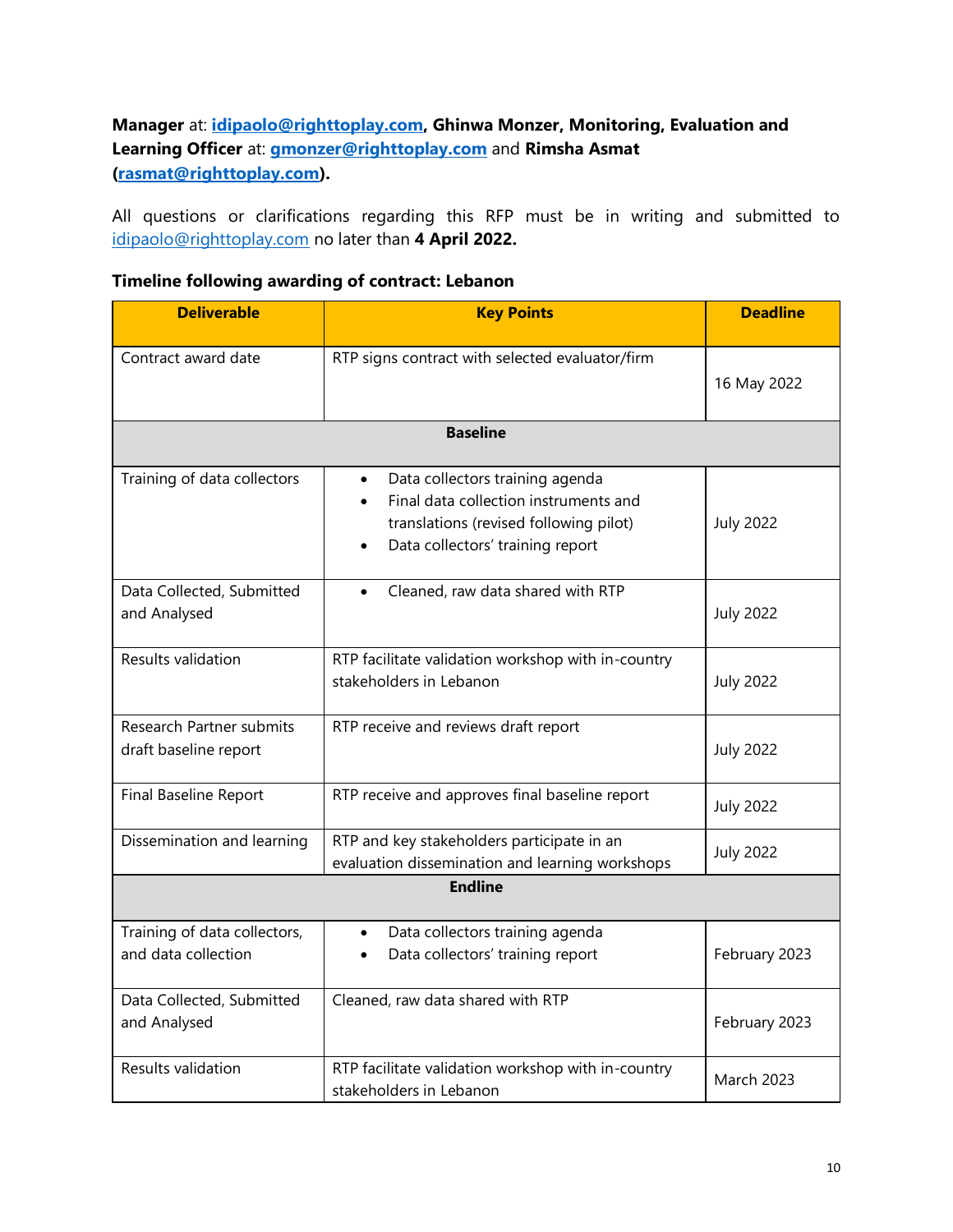### **Manager** at: **[idipaolo@righttoplay.com,](mailto:idipaolo@righttoplay.com) Ghinwa Monzer, Monitoring, Evaluation and Learning Officer** at: **[gmonzer@righttoplay.com](mailto:gmonzer@righttoplay.com)** and **Rimsha Asmat [\(rasmat@righttoplay.com\)](mailto:rasmat@righttoplay.com).**

All questions or clarifications regarding this RFP must be in writing and submitted to [idipaolo@righttoplay.com](mailto:idipaolo@righttoplay.com) no later than **4 April 2022.** 

### **Timeline following awarding of contract: Lebanon**

| <b>Deliverable</b>                                       | <b>Key Points</b>                                                                                                                                      | <b>Deadline</b>   |  |
|----------------------------------------------------------|--------------------------------------------------------------------------------------------------------------------------------------------------------|-------------------|--|
| Contract award date                                      | RTP signs contract with selected evaluator/firm                                                                                                        | 16 May 2022       |  |
| <b>Baseline</b>                                          |                                                                                                                                                        |                   |  |
| Training of data collectors                              | Data collectors training agenda<br>Final data collection instruments and<br>translations (revised following pilot)<br>Data collectors' training report | <b>July 2022</b>  |  |
| Data Collected, Submitted<br>and Analysed                | Cleaned, raw data shared with RTP<br>$\bullet$                                                                                                         | <b>July 2022</b>  |  |
| Results validation                                       | RTP facilitate validation workshop with in-country<br>stakeholders in Lebanon                                                                          | <b>July 2022</b>  |  |
| <b>Research Partner submits</b><br>draft baseline report | RTP receive and reviews draft report                                                                                                                   | <b>July 2022</b>  |  |
| Final Baseline Report                                    | RTP receive and approves final baseline report                                                                                                         | <b>July 2022</b>  |  |
| Dissemination and learning                               | RTP and key stakeholders participate in an<br>evaluation dissemination and learning workshops                                                          | <b>July 2022</b>  |  |
| <b>Endline</b>                                           |                                                                                                                                                        |                   |  |
| Training of data collectors,<br>and data collection      | Data collectors training agenda<br>$\bullet$<br>Data collectors' training report                                                                       | February 2023     |  |
| Data Collected, Submitted<br>and Analysed                | Cleaned, raw data shared with RTP                                                                                                                      | February 2023     |  |
| Results validation                                       | RTP facilitate validation workshop with in-country<br>stakeholders in Lebanon                                                                          | <b>March 2023</b> |  |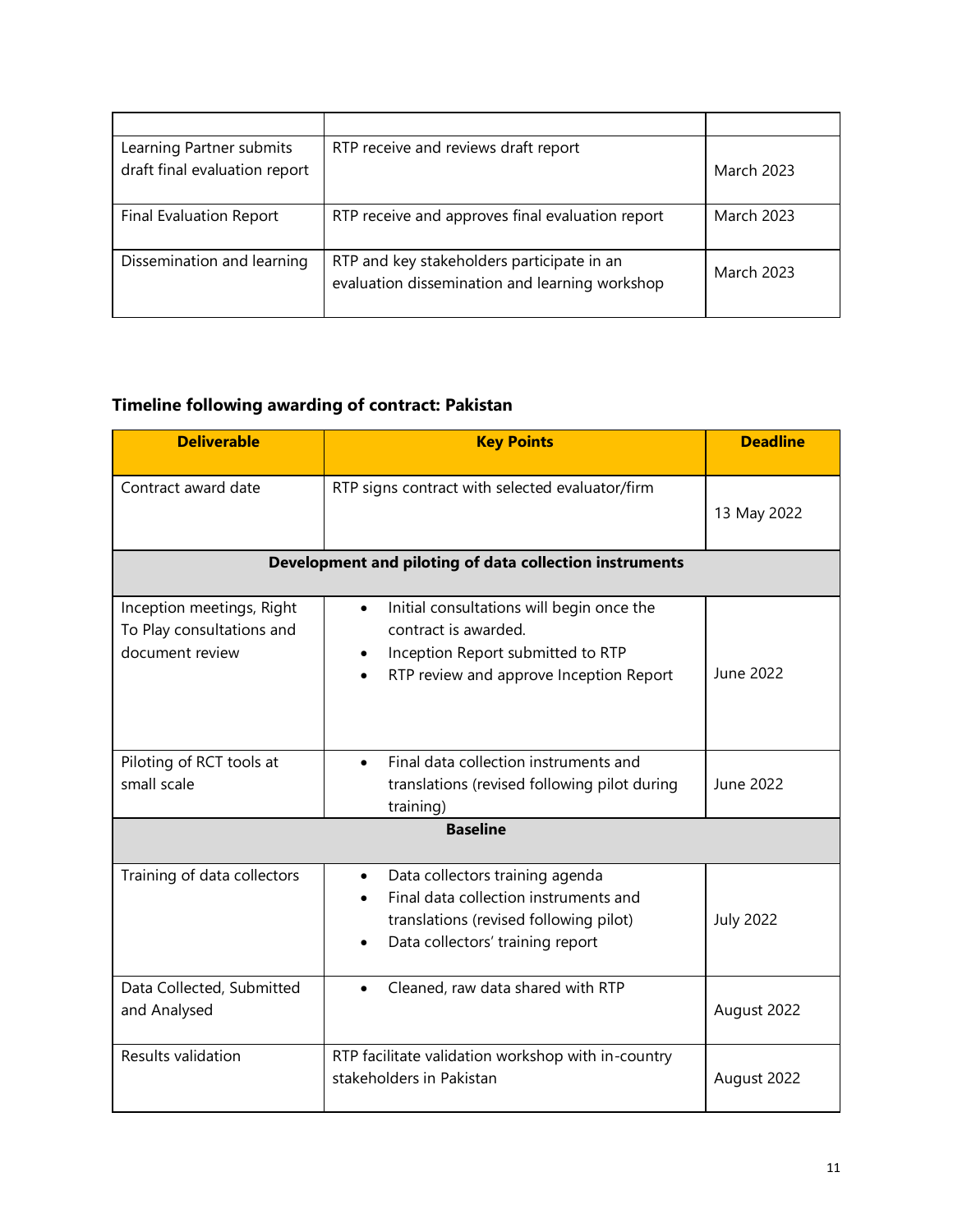| Learning Partner submits<br>draft final evaluation report | RTP receive and reviews draft report                                                         | <b>March 2023</b> |
|-----------------------------------------------------------|----------------------------------------------------------------------------------------------|-------------------|
| <b>Final Evaluation Report</b>                            | RTP receive and approves final evaluation report                                             | <b>March 2023</b> |
| Dissemination and learning                                | RTP and key stakeholders participate in an<br>evaluation dissemination and learning workshop | <b>March 2023</b> |

### **Timeline following awarding of contract: Pakistan**

| <b>Deliverable</b>                                                        | <b>Key Points</b>                                                                                                                                                                | <b>Deadline</b>  |  |
|---------------------------------------------------------------------------|----------------------------------------------------------------------------------------------------------------------------------------------------------------------------------|------------------|--|
| Contract award date                                                       | RTP signs contract with selected evaluator/firm                                                                                                                                  | 13 May 2022      |  |
| Development and piloting of data collection instruments                   |                                                                                                                                                                                  |                  |  |
| Inception meetings, Right<br>To Play consultations and<br>document review | Initial consultations will begin once the<br>$\bullet$<br>contract is awarded.<br>Inception Report submitted to RTP<br>$\bullet$<br>RTP review and approve Inception Report      | June 2022        |  |
| Piloting of RCT tools at<br>small scale                                   | Final data collection instruments and<br>$\bullet$<br>translations (revised following pilot during<br>training)                                                                  | June 2022        |  |
| <b>Baseline</b>                                                           |                                                                                                                                                                                  |                  |  |
| Training of data collectors                                               | Data collectors training agenda<br>$\bullet$<br>Final data collection instruments and<br>translations (revised following pilot)<br>Data collectors' training report<br>$\bullet$ | <b>July 2022</b> |  |
| Data Collected, Submitted<br>and Analysed                                 | Cleaned, raw data shared with RTP                                                                                                                                                | August 2022      |  |
| Results validation                                                        | RTP facilitate validation workshop with in-country<br>stakeholders in Pakistan                                                                                                   | August 2022      |  |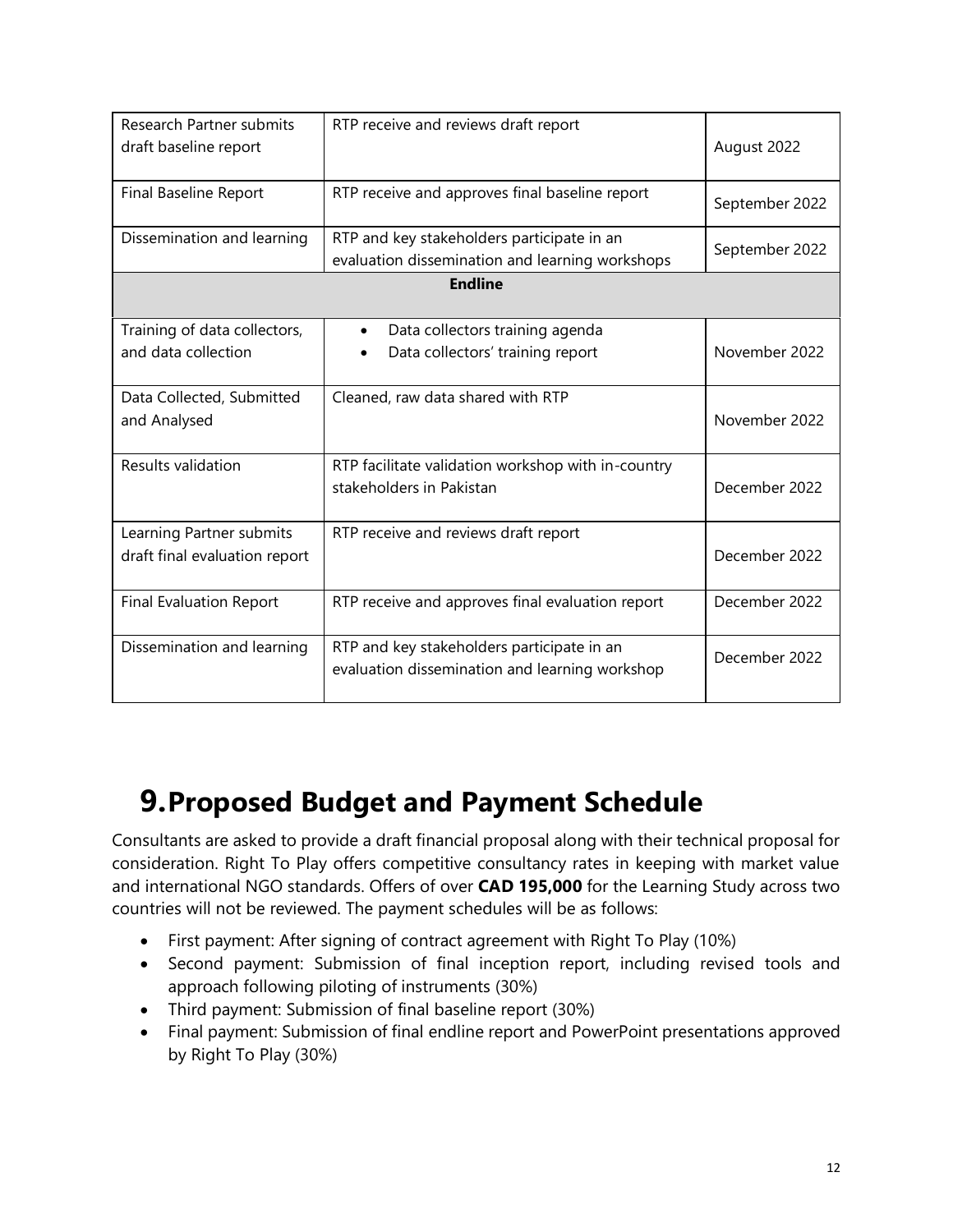| <b>Research Partner submits</b><br>draft baseline report | RTP receive and reviews draft report                                                          | August 2022    |
|----------------------------------------------------------|-----------------------------------------------------------------------------------------------|----------------|
| Final Baseline Report                                    | RTP receive and approves final baseline report                                                | September 2022 |
| Dissemination and learning                               | RTP and key stakeholders participate in an<br>evaluation dissemination and learning workshops | September 2022 |
|                                                          | <b>Endline</b>                                                                                |                |
|                                                          |                                                                                               |                |
| Training of data collectors,                             | Data collectors training agenda                                                               |                |
| and data collection                                      | Data collectors' training report                                                              | November 2022  |
| Data Collected, Submitted                                | Cleaned, raw data shared with RTP                                                             |                |
| and Analysed                                             |                                                                                               | November 2022  |
| Results validation                                       | RTP facilitate validation workshop with in-country                                            |                |
|                                                          | stakeholders in Pakistan                                                                      | December 2022  |
| Learning Partner submits                                 | RTP receive and reviews draft report                                                          |                |
| draft final evaluation report                            |                                                                                               | December 2022  |
| <b>Final Evaluation Report</b>                           | RTP receive and approves final evaluation report                                              | December 2022  |
| Dissemination and learning                               | RTP and key stakeholders participate in an                                                    | December 2022  |
|                                                          | evaluation dissemination and learning workshop                                                |                |

### **9.Proposed Budget and Payment Schedule**

Consultants are asked to provide a draft financial proposal along with their technical proposal for consideration. Right To Play offers competitive consultancy rates in keeping with market value and international NGO standards. Offers of over **CAD 195,000** for the Learning Study across two countries will not be reviewed. The payment schedules will be as follows:

- First payment: After signing of contract agreement with Right To Play (10%)
- Second payment: Submission of final inception report, including revised tools and approach following piloting of instruments (30%)
- Third payment: Submission of final baseline report (30%)
- Final payment: Submission of final endline report and PowerPoint presentations approved by Right To Play (30%)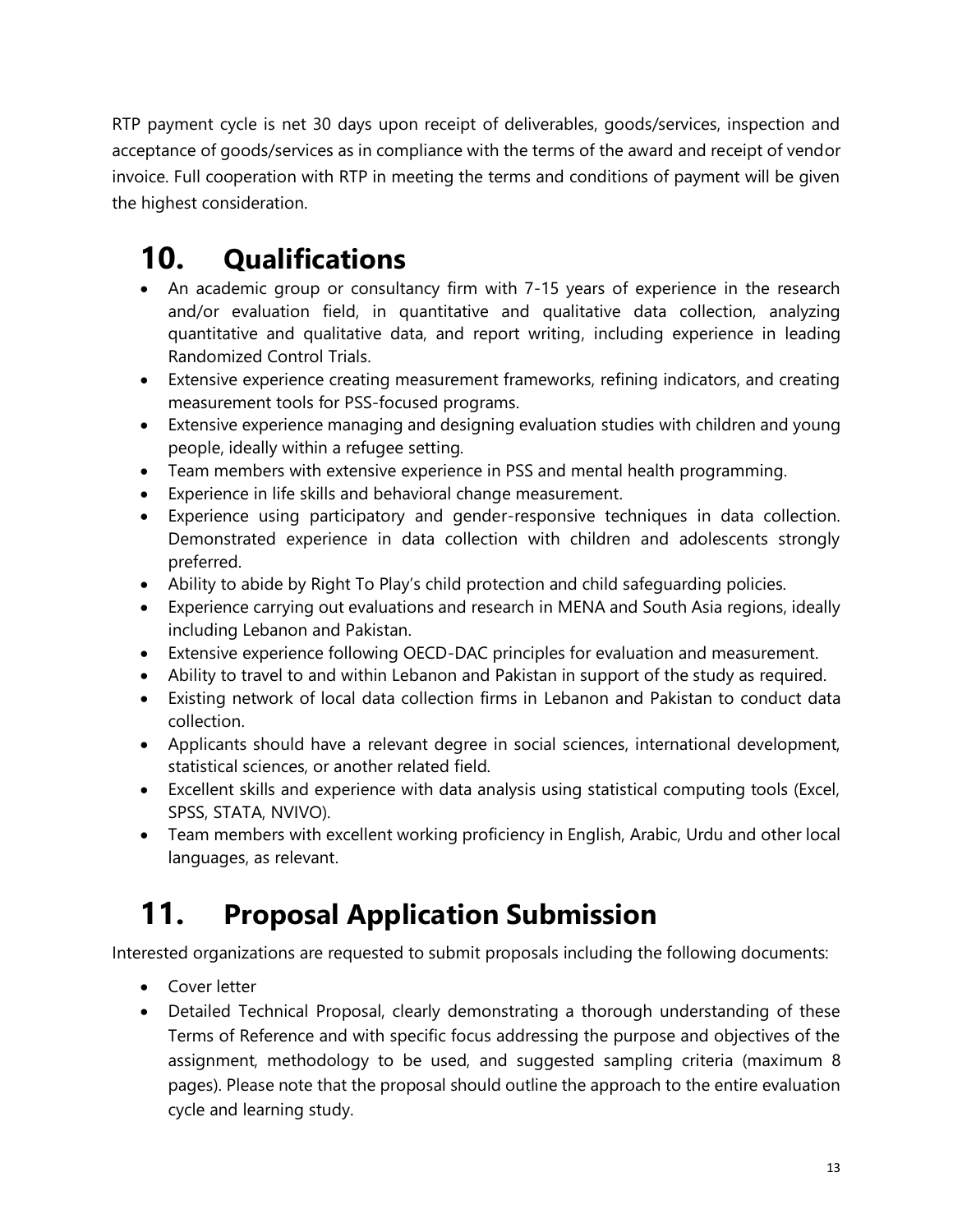RTP payment cycle is net 30 days upon receipt of deliverables, goods/services, inspection and acceptance of goods/services as in compliance with the terms of the award and receipt of vendor invoice. Full cooperation with RTP in meeting the terms and conditions of payment will be given the highest consideration.

# **10. Qualifications**

- An academic group or consultancy firm with 7-15 years of experience in the research and/or evaluation field, in quantitative and qualitative data collection, analyzing quantitative and qualitative data, and report writing, including experience in leading Randomized Control Trials.
- Extensive experience creating measurement frameworks, refining indicators, and creating measurement tools for PSS-focused programs.
- Extensive experience managing and designing evaluation studies with children and young people, ideally within a refugee setting.
- Team members with extensive experience in PSS and mental health programming.
- Experience in life skills and behavioral change measurement.
- Experience using participatory and gender-responsive techniques in data collection. Demonstrated experience in data collection with children and adolescents strongly preferred.
- Ability to abide by Right To Play's child protection and child safeguarding policies.
- Experience carrying out evaluations and research in MENA and South Asia regions, ideally including Lebanon and Pakistan.
- Extensive experience following OECD-DAC principles for evaluation and measurement.
- Ability to travel to and within Lebanon and Pakistan in support of the study as required.
- Existing network of local data collection firms in Lebanon and Pakistan to conduct data collection.
- Applicants should have a relevant degree in social sciences, international development, statistical sciences, or another related field.
- Excellent skills and experience with data analysis using statistical computing tools (Excel, SPSS, STATA, NVIVO).
- Team members with excellent working proficiency in English, Arabic, Urdu and other local languages, as relevant.

# **11. Proposal Application Submission**

Interested organizations are requested to submit proposals including the following documents:

- Cover letter
- Detailed Technical Proposal, clearly demonstrating a thorough understanding of these Terms of Reference and with specific focus addressing the purpose and objectives of the assignment, methodology to be used, and suggested sampling criteria (maximum 8 pages). Please note that the proposal should outline the approach to the entire evaluation cycle and learning study.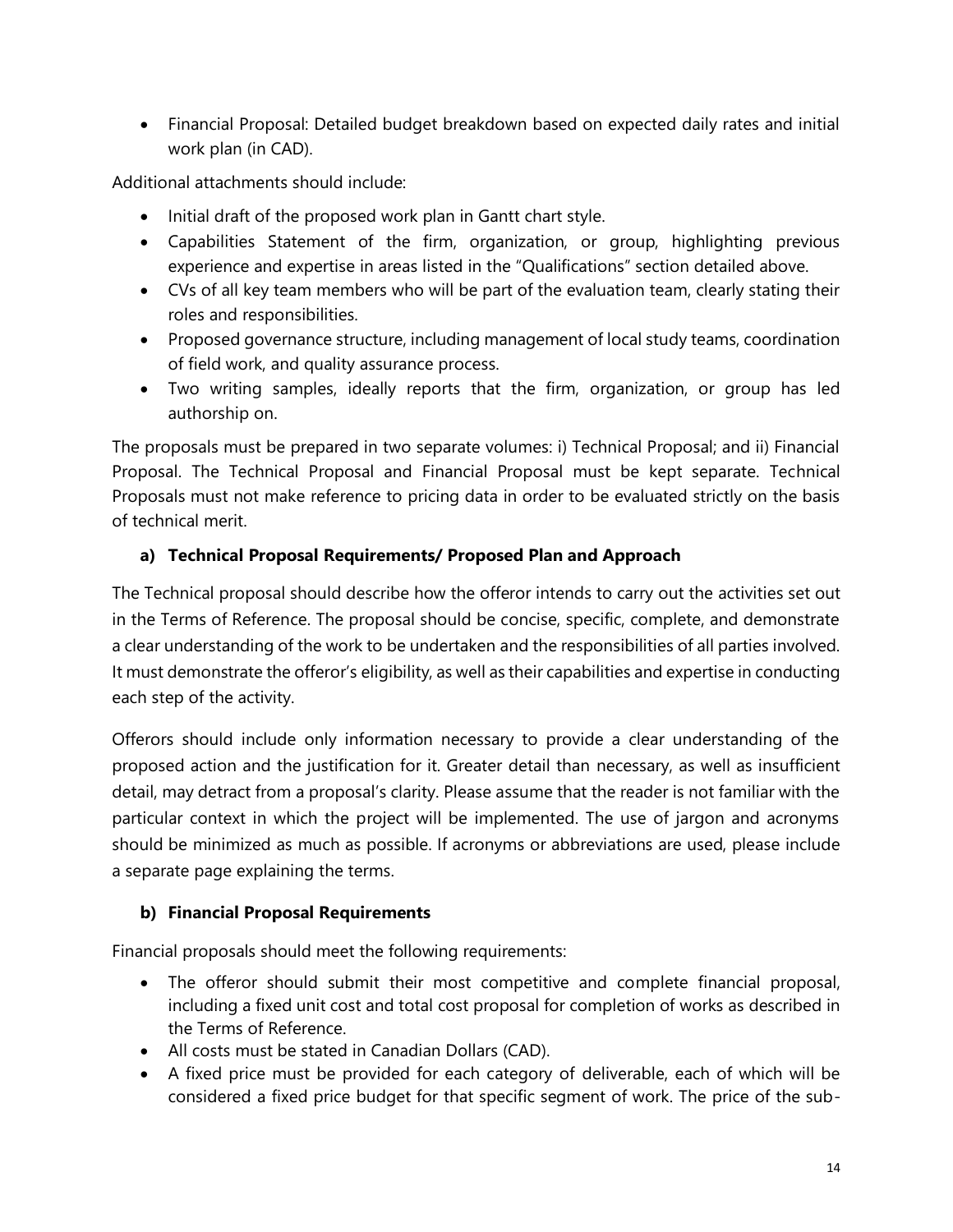• Financial Proposal: Detailed budget breakdown based on expected daily rates and initial work plan (in CAD).

Additional attachments should include:

- Initial draft of the proposed work plan in Gantt chart style.
- Capabilities Statement of the firm, organization, or group, highlighting previous experience and expertise in areas listed in the "Qualifications" section detailed above.
- CVs of all key team members who will be part of the evaluation team, clearly stating their roles and responsibilities.
- Proposed governance structure, including management of local study teams, coordination of field work, and quality assurance process.
- Two writing samples, ideally reports that the firm, organization, or group has led authorship on.

The proposals must be prepared in two separate volumes: i) Technical Proposal; and ii) Financial Proposal. The Technical Proposal and Financial Proposal must be kept separate. Technical Proposals must not make reference to pricing data in order to be evaluated strictly on the basis of technical merit.

### **a) Technical Proposal Requirements/ Proposed Plan and Approach**

The Technical proposal should describe how the offeror intends to carry out the activities set out in the Terms of Reference. The proposal should be concise, specific, complete, and demonstrate a clear understanding of the work to be undertaken and the responsibilities of all parties involved. It must demonstrate the offeror's eligibility, as well as their capabilities and expertise in conducting each step of the activity.

Offerors should include only information necessary to provide a clear understanding of the proposed action and the justification for it. Greater detail than necessary, as well as insufficient detail, may detract from a proposal's clarity. Please assume that the reader is not familiar with the particular context in which the project will be implemented. The use of jargon and acronyms should be minimized as much as possible. If acronyms or abbreviations are used, please include a separate page explaining the terms.

### **b) Financial Proposal Requirements**

Financial proposals should meet the following requirements:

- The offeror should submit their most competitive and complete financial proposal, including a fixed unit cost and total cost proposal for completion of works as described in the Terms of Reference.
- All costs must be stated in Canadian Dollars (CAD).
- A fixed price must be provided for each category of deliverable, each of which will be considered a fixed price budget for that specific segment of work. The price of the sub-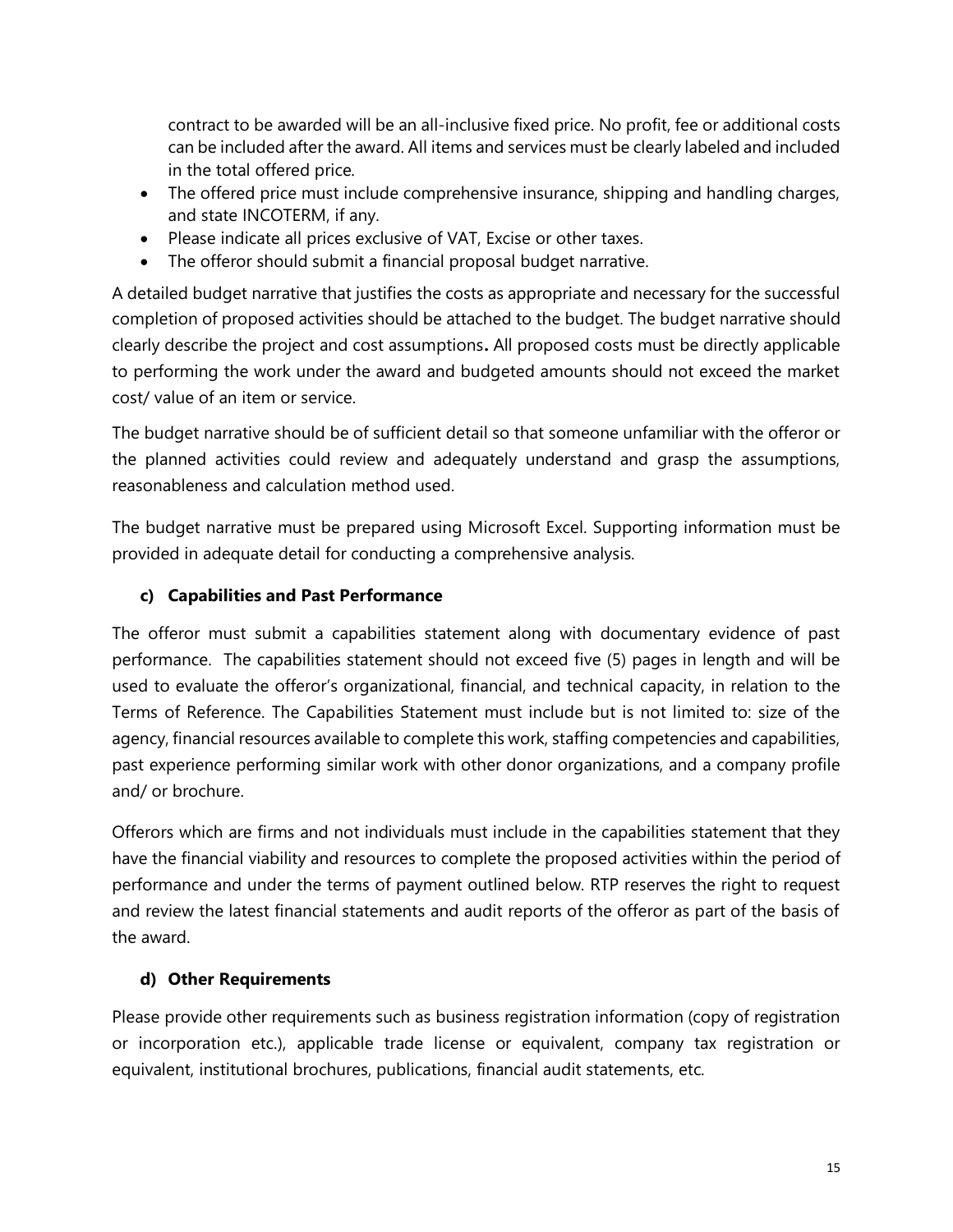contract to be awarded will be an all-inclusive fixed price. No profit, fee or additional costs can be included after the award. All items and services must be clearly labeled and included in the total offered price.

- The offered price must include comprehensive insurance, shipping and handling charges, and state INCOTERM, if any.
- Please indicate all prices exclusive of VAT, Excise or other taxes.
- The offeror should submit a financial proposal budget narrative.

A detailed budget narrative that justifies the costs as appropriate and necessary for the successful completion of proposed activities should be attached to the budget. The budget narrative should clearly describe the project and cost assumptions**.** All proposed costs must be directly applicable to performing the work under the award and budgeted amounts should not exceed the market cost/ value of an item or service.

The budget narrative should be of sufficient detail so that someone unfamiliar with the offeror or the planned activities could review and adequately understand and grasp the assumptions, reasonableness and calculation method used.

The budget narrative must be prepared using Microsoft Excel. Supporting information must be provided in adequate detail for conducting a comprehensive analysis.

### **c) Capabilities and Past Performance**

The offeror must submit a capabilities statement along with documentary evidence of past performance. The capabilities statement should not exceed five (5) pages in length and will be used to evaluate the offeror's organizational, financial, and technical capacity, in relation to the Terms of Reference. The Capabilities Statement must include but is not limited to: size of the agency, financial resources available to complete this work, staffing competencies and capabilities, past experience performing similar work with other donor organizations, and a company profile and/ or brochure.

Offerors which are firms and not individuals must include in the capabilities statement that they have the financial viability and resources to complete the proposed activities within the period of performance and under the terms of payment outlined below. RTP reserves the right to request and review the latest financial statements and audit reports of the offeror as part of the basis of the award.

### **d) Other Requirements**

Please provide other requirements such as business registration information (copy of registration or incorporation etc.), applicable trade license or equivalent, company tax registration or equivalent, institutional brochures, publications, financial audit statements, etc.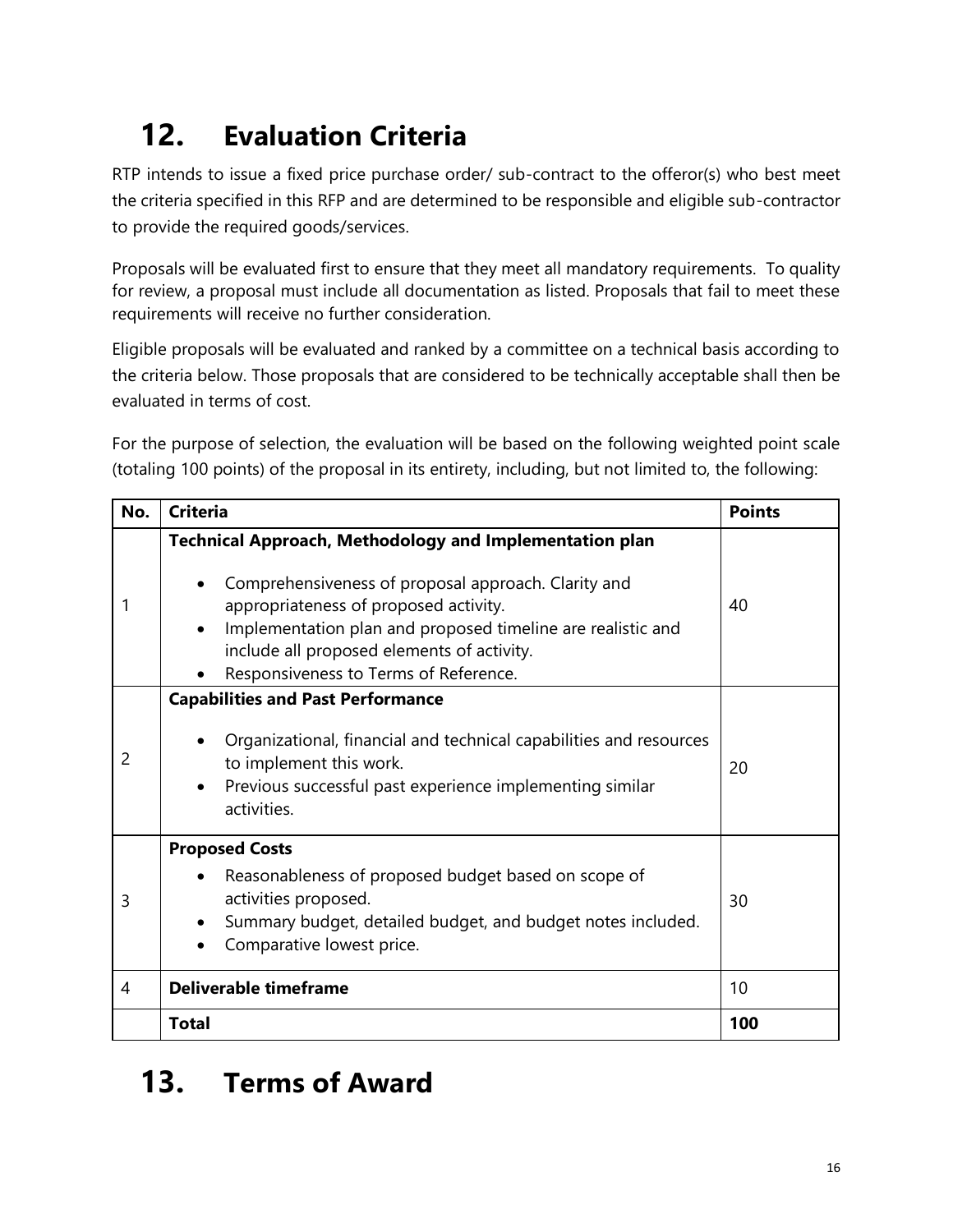# **12. Evaluation Criteria**

RTP intends to issue a fixed price purchase order/ sub-contract to the offeror(s) who best meet the criteria specified in this RFP and are determined to be responsible and eligible sub-contractor to provide the required goods/services.

Proposals will be evaluated first to ensure that they meet all mandatory requirements. To quality for review, a proposal must include all documentation as listed. Proposals that fail to meet these requirements will receive no further consideration.

Eligible proposals will be evaluated and ranked by a committee on a technical basis according to the criteria below. Those proposals that are considered to be technically acceptable shall then be evaluated in terms of cost.

For the purpose of selection, the evaluation will be based on the following weighted point scale (totaling 100 points) of the proposal in its entirety, including, but not limited to, the following:

| No.            | <b>Criteria</b>                                                                                                                                                                                                                                                                                                                   | <b>Points</b> |
|----------------|-----------------------------------------------------------------------------------------------------------------------------------------------------------------------------------------------------------------------------------------------------------------------------------------------------------------------------------|---------------|
|                | <b>Technical Approach, Methodology and Implementation plan</b><br>Comprehensiveness of proposal approach. Clarity and<br>appropriateness of proposed activity.<br>Implementation plan and proposed timeline are realistic and<br>include all proposed elements of activity.<br>Responsiveness to Terms of Reference.<br>$\bullet$ | 40            |
| $\overline{2}$ | <b>Capabilities and Past Performance</b><br>Organizational, financial and technical capabilities and resources<br>to implement this work.<br>Previous successful past experience implementing similar<br>activities.                                                                                                              | 20            |
| 3              | <b>Proposed Costs</b><br>Reasonableness of proposed budget based on scope of<br>activities proposed.<br>Summary budget, detailed budget, and budget notes included.<br>Comparative lowest price.                                                                                                                                  | 30            |
| 4              | <b>Deliverable timeframe</b>                                                                                                                                                                                                                                                                                                      | 10            |
|                | <b>Total</b>                                                                                                                                                                                                                                                                                                                      | 100           |

# **13. Terms of Award**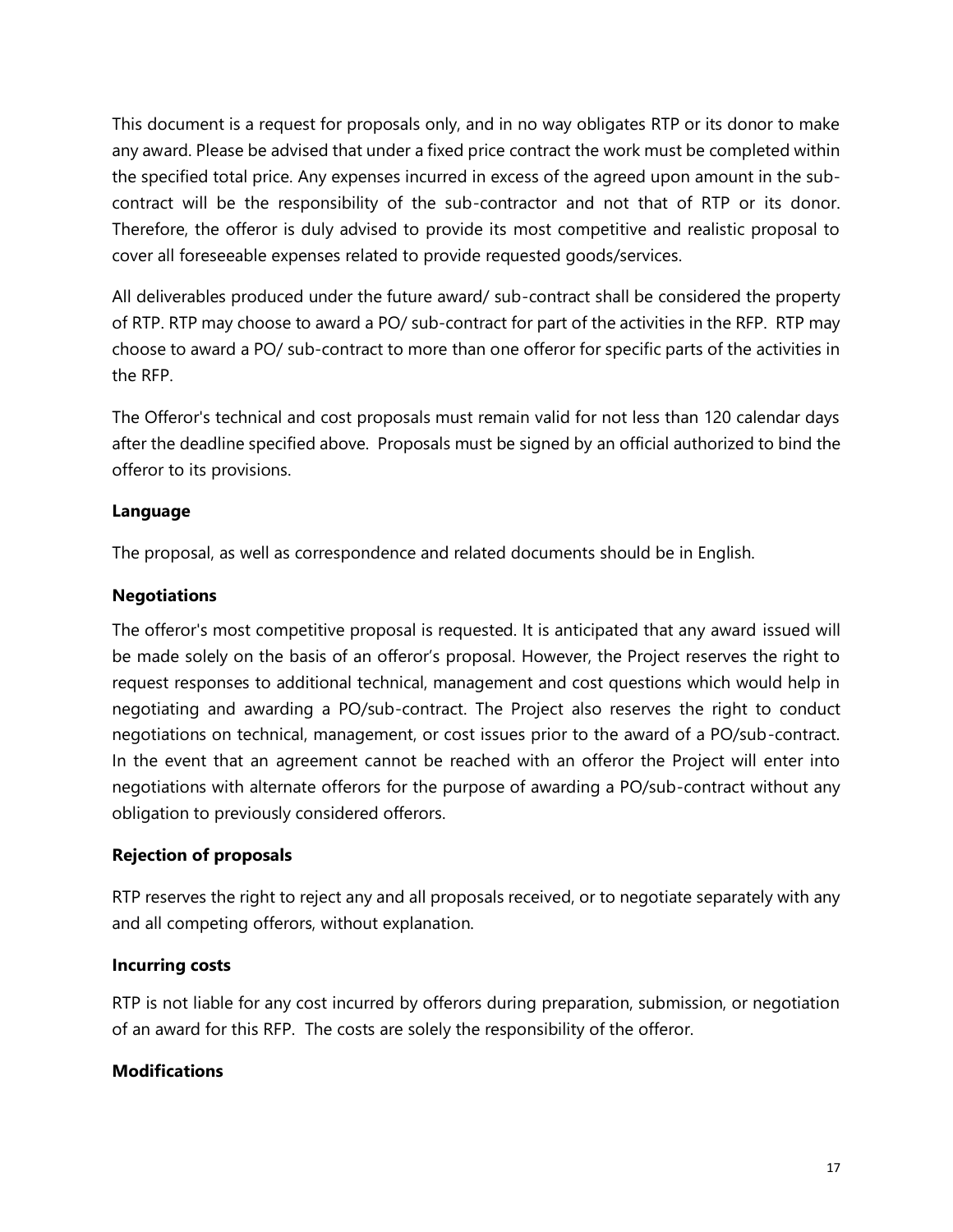This document is a request for proposals only, and in no way obligates RTP or its donor to make any award. Please be advised that under a fixed price contract the work must be completed within the specified total price. Any expenses incurred in excess of the agreed upon amount in the subcontract will be the responsibility of the sub-contractor and not that of RTP or its donor. Therefore, the offeror is duly advised to provide its most competitive and realistic proposal to cover all foreseeable expenses related to provide requested goods/services.

All deliverables produced under the future award/ sub-contract shall be considered the property of RTP. RTP may choose to award a PO/ sub-contract for part of the activities in the RFP. RTP may choose to award a PO/ sub-contract to more than one offeror for specific parts of the activities in the RFP.

The Offeror's technical and cost proposals must remain valid for not less than 120 calendar days after the deadline specified above. Proposals must be signed by an official authorized to bind the offeror to its provisions.

### **Language**

The proposal, as well as correspondence and related documents should be in English.

### **Negotiations**

The offeror's most competitive proposal is requested. It is anticipated that any award issued will be made solely on the basis of an offeror's proposal. However, the Project reserves the right to request responses to additional technical, management and cost questions which would help in negotiating and awarding a PO/sub-contract. The Project also reserves the right to conduct negotiations on technical, management, or cost issues prior to the award of a PO/sub-contract. In the event that an agreement cannot be reached with an offeror the Project will enter into negotiations with alternate offerors for the purpose of awarding a PO/sub-contract without any obligation to previously considered offerors.

### **Rejection of proposals**

RTP reserves the right to reject any and all proposals received, or to negotiate separately with any and all competing offerors, without explanation.

### **Incurring costs**

RTP is not liable for any cost incurred by offerors during preparation, submission, or negotiation of an award for this RFP. The costs are solely the responsibility of the offeror.

### **Modifications**